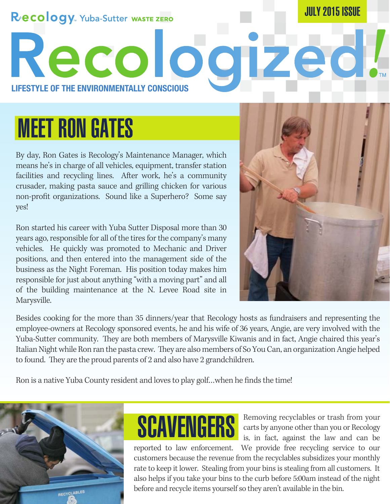#### RECOLOGY. Yuba-Sutter WASTE ZERO

JULY 2015 ISSUE

**LIFESTYLE OF THE ENVIRONMENTALLY CONSCIOUS**

# MEET RON GATES

By day, Ron Gates is Recology's Maintenance Manager, which means he's in charge of all vehicles, equipment, transfer station facilities and recycling lines. After work, he's a community crusader, making pasta sauce and grilling chicken for various non-profit organizations. Sound like a Superhero? Some say yes!

Recolog

Ron started his career with Yuba Sutter Disposal more than 30 years ago, responsible for all of the tires for the company's many vehicles. He quickly was promoted to Mechanic and Driver positions, and then entered into the management side of the business as the Night Foreman. His position today makes him responsible for just about anything "with a moving part" and all of the building maintenance at the N. Levee Road site in Marysville.



Besides cooking for the more than 35 dinners/year that Recology hosts as fundraisers and representing the employee-owners at Recology sponsored events, he and his wife of 36 years, Angie, are very involved with the Yuba-Sutter community. They are both members of Marysville Kiwanis and in fact, Angie chaired this year's Italian Night while Ron ran the pasta crew. They are also members of So You Can, an organization Angie helped to found. They are the proud parents of 2 and also have 2 grandchildren.

Ron is a native Yuba County resident and loves to play golf…when he finds the time!





Removing recyclables or trash from your carts by anyone other than you or Recology SCAVENGERS Removing recyclables or trash from your carts by anyone other than you or Recology is, in fact, against the law and can be

reported to law enforcement. We provide free recycling service to our customers because the revenue from the recyclables subsidizes your monthly rate to keep it lower. Stealing from your bins is stealing from all customers. It also helps if you take your bins to the curb before 5:00am instead of the night before and recycle items yourself so they aren't available in the bin.